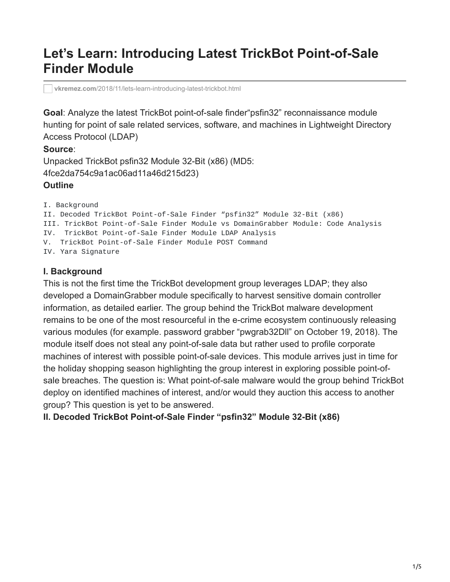# **Let's Learn: Introducing Latest TrickBot Point-of-Sale Finder Module**

**vkremez.com**[/2018/11/lets-learn-introducing-latest-trickbot.html](https://www.vkremez.com/2018/11/lets-learn-introducing-latest-trickbot.html)

**Goal**: Analyze the latest TrickBot point-of-sale finder"psfin32" reconnaissance module hunting for point of sale related services, software, and machines in Lightweight Directory Access Protocol (LDAP)

#### **Source**:

Unpacked TrickBot psfin32 Module 32-Bit (x86) (MD5: 4fce2da754c9a1ac06ad11a46d215d23)

## **Outline**

I. Background II. Decoded TrickBot Point-of-Sale Finder "psfin32" Module 32-Bit (x86) III. TrickBot Point-of-Sale Finder Module vs DomainGrabber Module: Code Analysis IV. TrickBot Point-of-Sale Finder Module LDAP Analysis V. TrickBot Point-of-Sale Finder Module POST Command IV. Yara Signature

## **I. Background**

This is not the first time the TrickBot development group leverages LDAP; they also developed a DomainGrabber module specifically to harvest sensitive domain controller information, as detailed earlier. The group behind the TrickBot malware development remains to be one of the most resourceful in the e-crime ecosystem continuously releasing various modules (for example. password grabber "pwgrab32Dll" on October 19, 2018). The module itself does not steal any point-of-sale data but rather used to profile corporate machines of interest with possible point-of-sale devices. This module arrives just in time for the holiday shopping season highlighting the group interest in exploring possible point-ofsale breaches. The question is: What point-of-sale malware would the group behind TrickBot deploy on identified machines of interest, and/or would they auction this access to another group? This question is yet to be answered.

**II. Decoded TrickBot Point-of-Sale Finder "psfin32" Module 32-Bit (x86)**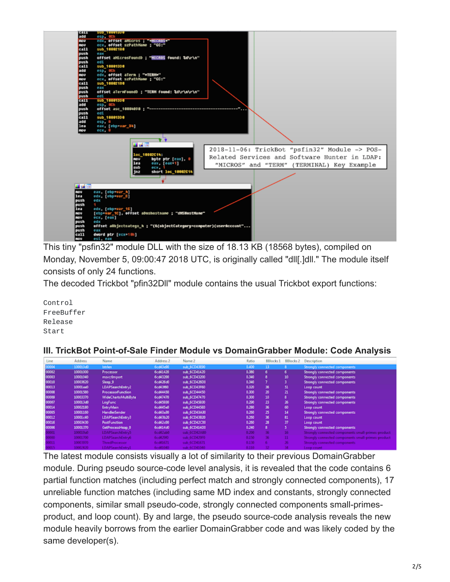

This tiny "psfin32" module DLL with the size of 18.13 KB (18568 bytes), compiled on Monday, November 5, 09:00:47 2018 UTC, is originally called "dll[.]dll." The module itself consists of only 24 functions.

The decoded Trickbot "pfin32Dll" module contains the usual Trickbot export functions:

Control FreeBuffer Release Start

#### **III. TrickBot Point-of-Sale Finder Module vs DomainGrabber Module: Code Analysis**

| Line  | <b>Address</b> | Name                     | Address 2 | Name 2       | <b>Ratio</b> | <b>BBlocks 1</b> | BBlocks 2 | <b>Description</b>                                 |
|-------|----------------|--------------------------|-----------|--------------|--------------|------------------|-----------|----------------------------------------------------|
| 00004 | 100010c0       | <b>Istrien</b>           | 6cd43e90  | sub 6CD43E90 | 0.400        | 13               |           | Strongly connected components                      |
| 00002 | 10001000       | Processor                | 6cd41420  | sub 6CD41420 | 0.380        | 6.               | 6.        | Strongly connected components                      |
| 00003 | 10001040       | msvcrimport              | 6cd43200  | sub 6CD43200 | 0.340        | 8.               | 10        | Strongly connected components                      |
| 00010 | 10003620       | Sleep 0                  | 6cd426d0  | sub_6CD426D0 | 0.340        |                  | з.        | Strongly connected components                      |
| 00013 | 10001ee0       | LDAPSearchEntry2         | 6cd43f60  | sub 6CD43F60 | 0.320        | 36               | 51        | Loop count                                         |
| 00008 | 10001580       | <b>ProcessorFunction</b> | 6cd44450  | sub 6CD44450 | 0.300        | 20               | 21        | Strongly connected components                      |
| 00009 | 10003370       | WideChartoMultiByte      | 6cd47470  | sub_6CD47470 | 0.300        | 10               | 8.        | Strongly connected components                      |
| 00007 | 10001360       | <b>LogFunc</b>           | 6cd45930  | sub_6CD45930 | 0.290        | 23               | 26        | Strongly connected components                      |
| 00014 | 10002180       | <b>EntryMain</b>         | 6cd45e0   | sub.6CD445E0 | 0.280        | 36               | 60        | Loop count                                         |
| 00005 | 10001160       | <b>HandlerSender</b>     | 6cd43a30  | sub.6CD43A30 | 0.260        | 25               | 14        | Strongly connected components                      |
| 00012 | 10001c00       | LDAPSearchEntry3         | 6cd43b20  | sub 6CD43B20 | 0.260        | 36               | 81        | Loop count                                         |
| 00016 | 10003430       | <b>PostFunction</b>      | 6cd42c00  | sub 6CD42C00 | 0.260        | 28               | 37        | Loop count                                         |
| 00006 | 10001370       | GetProcessHeap 0         | 6cd414d0  | sub 6CD414D0 | 0.240        | 8                | 5.        | Strongly connected components                      |
| 1000  | 100019a0       | LDAPSearchEntry5         | 6cd42ab0  | sub 6CD42AB0 | 0.200        | 36               | 16        | Strongly connected components small-primes-product |
| 00000 | 10001700       | LDAPSearchEntry6         | 6cd429f0  | sub 6CD429F0 | 0.150        | 36               | n         | Strongly connected components small-primes-product |
| 00011 | 10003970       | ThredProcessor           | 6cd41671  | sub 6CD41671 | 0.130        |                  | 26        | Strongly connected components                      |
| 0015  | 10002420       | <b>DAPSearchEntry1</b>   | 6cd41040  | sub 6CD41040 | 0.110        | o                | и         | Loop count                                         |

The latest module consists visually a lot of similarity to their previous DomainGrabber module. During pseudo source-code level analysis, it is revealed that the code contains 6 partial function matches (including perfect match and strongly connected components), 17 unreliable function matches (including same MD index and constants, strongly connected components, similar small pseudo-code, strongly connected components small-primesproduct, and loop count). By and large, the pseudo source-code analysis reveals the new module heavily borrows from the earlier DomainGrabber code and was likely coded by the same developer(s).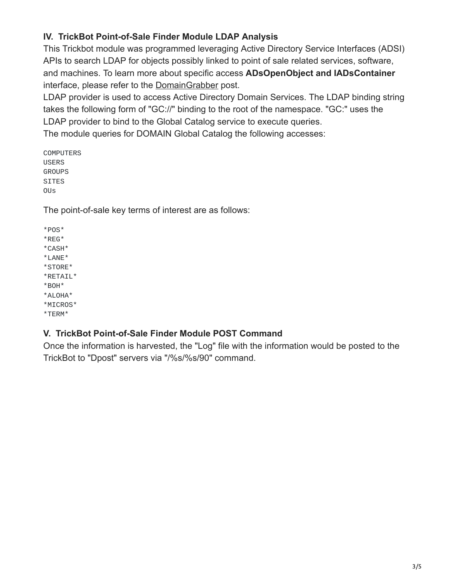# **IV. TrickBot Point-of-Sale Finder Module LDAP Analysis**

This Trickbot module was programmed leveraging Active Directory Service Interfaces (ADSI) APIs to search LDAP for objects possibly linked to point of sale related services, software, and machines. To learn more about specific access **ADsOpenObject and IADsContainer**  interface, please refer to the [DomainGrabber](https://www.vkremez.com/2017/12/lets-learn-introducing-new-trickbot.html) post.

LDAP provider is used to access Active Directory Domain Services. The LDAP binding string takes the following form of "GC://" binding to the root of the namespace. "GC:" uses the LDAP provider to bind to the Global Catalog service to execute queries.

The module queries for DOMAIN Global Catalog the following accesses:

COMPUTERS USERS **GROUPS SITES** OUs

The point-of-sale key terms of interest are as follows:

\*POS\* \*REG\* \*CASH\* \*LANE\* \*STORE\* \*RETAIL\* \*BOH\* \*ALOHA\* \*MICROS\* \*TERM\*

## **V. TrickBot Point-of-Sale Finder Module POST Command**

Once the information is harvested, the "Log" file with the information would be posted to the TrickBot to "Dpost" servers via "/%s/%s/90" command.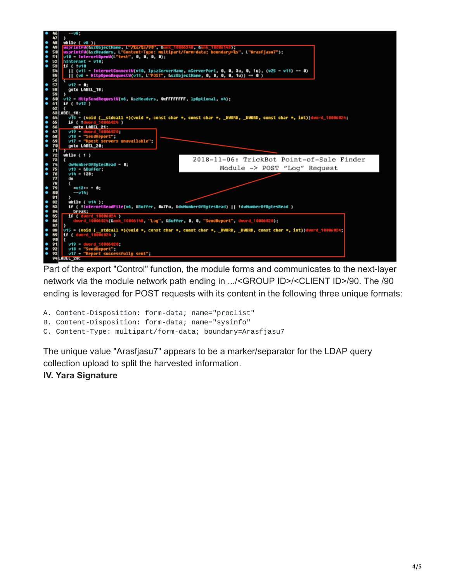

Part of the export "Control" function, the module forms and communicates to the next-layer network via the module network path ending in .../<GROUP ID>/<CLIENT ID>/90. The /90 ending is leveraged for POST requests with its content in the following three unique formats:

A. Content-Disposition: form-data; name="proclist"

B. Content-Disposition: form-data; name="sysinfo"

C. Content-Type: multipart/form-data; boundary=Arasfjasu7

The unique value "Arasfjasu7" appears to be a marker/separator for the LDAP query collection upload to split the harvested information.

## **IV. Yara Signature**